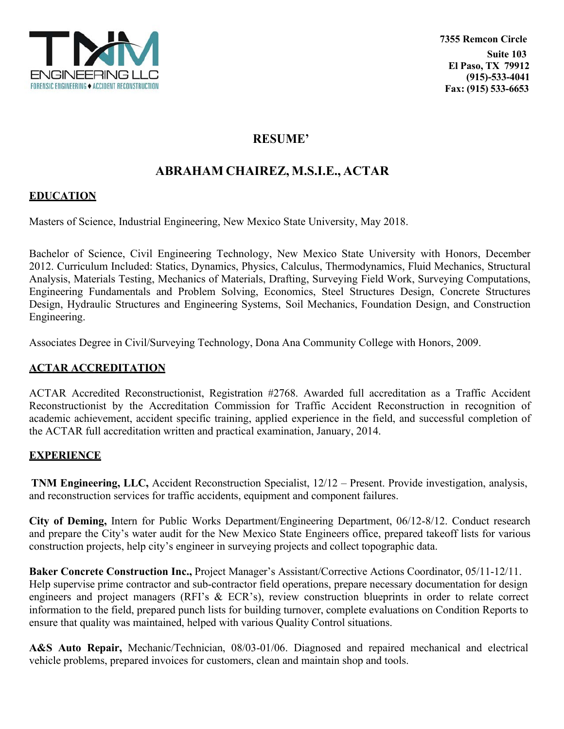

## **RESUME'**

# **ABRAHAM CHAIREZ, M.S.I.E., ACTAR**

#### **EDUCATION**

Masters of Science, Industrial Engineering, New Mexico State University, May 2018.

Bachelor of Science, Civil Engineering Technology, New Mexico State University with Honors, December 2012. Curriculum Included: Statics, Dynamics, Physics, Calculus, Thermodynamics, Fluid Mechanics, Structural Analysis, Materials Testing, Mechanics of Materials, Drafting, Surveying Field Work, Surveying Computations, Engineering Fundamentals and Problem Solving, Economics, Steel Structures Design, Concrete Structures Design, Hydraulic Structures and Engineering Systems, Soil Mechanics, Foundation Design, and Construction Engineering.

Associates Degree in Civil/Surveying Technology, Dona Ana Community College with Honors, 2009.

### **ACTAR ACCREDITATION**

ACTAR Accredited Reconstructionist, Registration #2768. Awarded full accreditation as a Traffic Accident Reconstructionist by the Accreditation Commission for Traffic Accident Reconstruction in recognition of academic achievement, accident specific training, applied experience in the field, and successful completion of the ACTAR full accreditation written and practical examination, January, 2014.

#### **EXPERIENCE**

**TNM Engineering, LLC,** Accident Reconstruction Specialist, 12/12 – Present. Provide investigation, analysis, and reconstruction services for traffic accidents, equipment and component failures.

**City of Deming,** Intern for Public Works Department/Engineering Department, 06/12-8/12. Conduct research and prepare the City's water audit for the New Mexico State Engineers office, prepared takeoff lists for various construction projects, help city's engineer in surveying projects and collect topographic data.

**Baker Concrete Construction Inc.,** Project Manager's Assistant/Corrective Actions Coordinator, 05/11-12/11. Help supervise prime contractor and sub-contractor field operations, prepare necessary documentation for design engineers and project managers (RFI's & ECR's), review construction blueprints in order to relate correct information to the field, prepared punch lists for building turnover, complete evaluations on Condition Reports to ensure that quality was maintained, helped with various Quality Control situations.

**A&S Auto Repair,** Mechanic/Technician, 08/03-01/06. Diagnosed and repaired mechanical and electrical vehicle problems, prepared invoices for customers, clean and maintain shop and tools.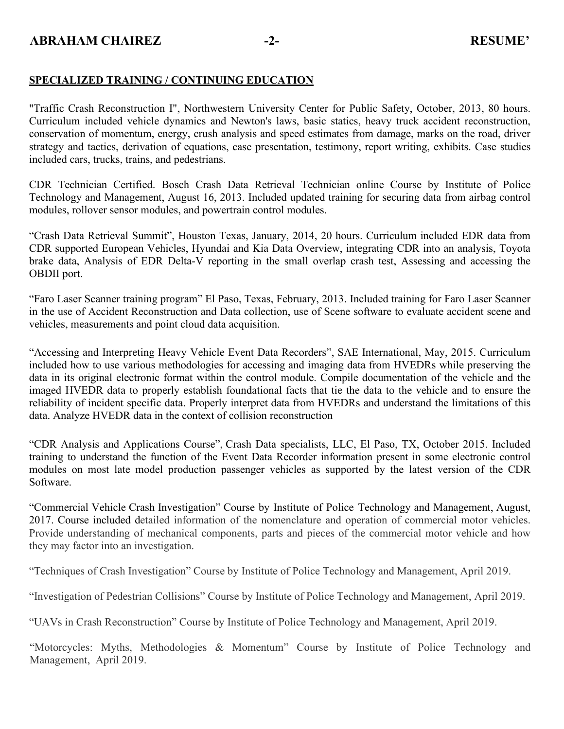#### **SPECIALIZED TRAINING / CONTINUING EDUCATION**

"Traffic Crash Reconstruction I", Northwestern University Center for Public Safety, October, 2013, 80 hours. Curriculum included vehicle dynamics and Newton's laws, basic statics, heavy truck accident reconstruction, conservation of momentum, energy, crush analysis and speed estimates from damage, marks on the road, driver strategy and tactics, derivation of equations, case presentation, testimony, report writing, exhibits. Case studies included cars, trucks, trains, and pedestrians.

CDR Technician Certified. Bosch Crash Data Retrieval Technician online Course by Institute of Police Technology and Management, August 16, 2013. Included updated training for securing data from airbag control modules, rollover sensor modules, and powertrain control modules.

"Crash Data Retrieval Summit", Houston Texas, January, 2014, 20 hours. Curriculum included EDR data from CDR supported European Vehicles, Hyundai and Kia Data Overview, integrating CDR into an analysis, Toyota brake data, Analysis of EDR Delta-V reporting in the small overlap crash test, Assessing and accessing the OBDII port.

"Faro Laser Scanner training program" El Paso, Texas, February, 2013. Included training for Faro Laser Scanner in the use of Accident Reconstruction and Data collection, use of Scene software to evaluate accident scene and vehicles, measurements and point cloud data acquisition.

"Accessing and Interpreting Heavy Vehicle Event Data Recorders", SAE International, May, 2015. Curriculum included how to use various methodologies for accessing and imaging data from HVEDRs while preserving the data in its original electronic format within the control module. Compile documentation of the vehicle and the imaged HVEDR data to properly establish foundational facts that tie the data to the vehicle and to ensure the reliability of incident specific data. Properly interpret data from HVEDRs and understand the limitations of this data. Analyze HVEDR data in the context of collision reconstruction

"CDR Analysis and Applications Course", Crash Data specialists, LLC, El Paso, TX, October 2015. Included training to understand the function of the Event Data Recorder information present in some electronic control modules on most late model production passenger vehicles as supported by the latest version of the CDR Software.

"Commercial Vehicle Crash Investigation" Course by Institute of Police Technology and Management, August, 2017. Course included detailed information of the nomenclature and operation of commercial motor vehicles. Provide understanding of mechanical components, parts and pieces of the commercial motor vehicle and how they may factor into an investigation.

"Techniques of Crash Investigation" Course by Institute of Police Technology and Management, April 2019.

"Investigation of Pedestrian Collisions" Course by Institute of Police Technology and Management, April 2019.

"UAVs in Crash Reconstruction" Course by Institute of Police Technology and Management, April 2019.

"Motorcycles: Myths, Methodologies & Momentum" Course by Institute of Police Technology and Management, April 2019.